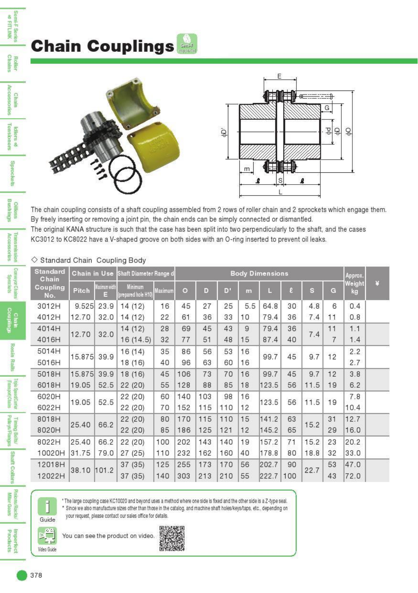## **Chain Couplings**

Semi-F Serie<br>
at FITLINK

**Chain** 

**Accessories** 

Tensioners Idlers

 $\frac{8}{8}$ 

Sprockets

Oilless<br>Bushings

**Accessories** 

**Sprockets** 

Teaspott)Class

Pulleys/Flanges

**Miter Gears** 

Imperiect<br>Proclucts

Chain





The chain coupling consists of a shaft coupling assembled from 2 rows of roller chain and 2 sprockets which engage them. By freely inserting or removing a joint pin, the chain ends can be simply connected or dismantled. The original KANA structure is such that the case has been split into two perpendicularly to the shaft, and the cases KC3012 to KC8022 have a V-shaped groove on both sides with an O-ring inserted to prevent oil leaks.

## $\diamond$  Standard Chain Coupling Body

| <b>Standard</b><br>Chain<br>Coupling<br>No. |             |                         | Chain in Use Shaft Diameter Range d  |         | <b>Body Dimensions</b> |     |     |     |       |     |              |                | Approx.      |    |
|---------------------------------------------|-------------|-------------------------|--------------------------------------|---------|------------------------|-----|-----|-----|-------|-----|--------------|----------------|--------------|----|
|                                             | Pitch       | <b>Navmun with</b><br>Ξ | <b>Minimum</b><br>prepared hole H10) | Maximum | $\circ$                | D   | D'  | m   | П     | e.  | $\mathbf{s}$ | G              | Weight<br>kg | P. |
| 3012H                                       | 9.525       | 23.9                    | 14(12)                               | 16      | 45                     | 27  | 25  | 5.5 | 64.8  | 30  | 4.8          | 6              | 0.4          |    |
| 4012H                                       | 12.70       | 32.0                    | 14(12)                               | 22      | 61                     | 36  | 33  | 10  | 79.4  | 36  | 7.4          | 11             | 0.8          |    |
| 4014H                                       | 12.70       | 32.0                    | 14(12)                               | 28      | 69                     | 45  | 43  | 9   | 79.4  | 36  | 7.4          | 11             | 1.1          |    |
| 4016H                                       |             |                         | 16(14.5)                             | 32      | 77                     | 51  | 48  | 15  | 87.4  | 40  |              | $\overline{7}$ | 1.4          |    |
| 5014H                                       |             |                         | 16(14)                               | 35      | 86                     | 56  | 53  | 16  | 99.7  | 45  | 9.7          | 12             | 2.2          |    |
| 5016H                                       | 15.875      | 39.9                    | 18(16)                               | 40      | 96                     | 63  | 60  | 16  |       |     |              |                | 2.7          |    |
| 5018H                                       | 15.875      | 39.9                    | 18(16)                               | 45      | 106                    | 73  | 70  | 16  | 99.7  | 45  | 9.7          | 12             | 3.8          |    |
| 6018H                                       | 19.05       | 52.5                    | 22(20)                               | 55      | 128                    | 88  | 85  | 18  | 123.5 | 56  | 11.5         | 19             | 6.2          |    |
| 6020H                                       | 19.05       | 52.5                    | 22(20)                               | 60      | 140                    | 103 | 98  | 16  |       |     | 11.5         | 19             | 7.8          |    |
| 6022H                                       |             |                         | 22(20)                               | 70      | 152                    | 115 | 110 | 12  | 123.5 | 56  |              |                | 10.4         |    |
| 8018H                                       | 25.40       | 66.2                    | 22(20)                               | 80      | 170                    | 115 | 110 | 15  | 141.2 | 63  | 15.2         | 31             | 12.7         |    |
| 8020H                                       |             |                         | 22 (20)                              | 85      | 186                    | 125 | 121 | 12  | 145.2 | 65  |              | 29             | 16.0         |    |
| 8022H                                       | 25.40       | 66.2                    | 22(20)                               | 100     | 202                    | 143 | 140 | 19  | 157.2 | 71  | 15.2         | 23             | 20.2         |    |
| 10020H                                      | 31.75       | 79.0                    | 27(25)                               | 110     | 232                    | 162 | 160 | 40  | 178.8 | 80  | 18.8         | 32             | 33.0         |    |
| 12018H                                      | 38.10 101.2 |                         | 37(35)                               | 125     | 255                    | 173 | 170 | 56  | 202.7 | 90  | 22.7         | 53             | 47.0         |    |
| 12022H                                      |             |                         | 37(35)                               | 140     | 303                    | 213 | 210 | 55  | 222.7 | 100 |              | 43             | 72.0         |    |



\* The large coupling case KC10020 and beyond uses a method where one side is fixed and the other side is a Z-type seal. \* Since we also manufacture sizes other than those in the catalog, and machine shaft holes/keys/taps, etc., depending on your request, please contact our sales office for details.



Ĥ

Guide

You can see the product on video.

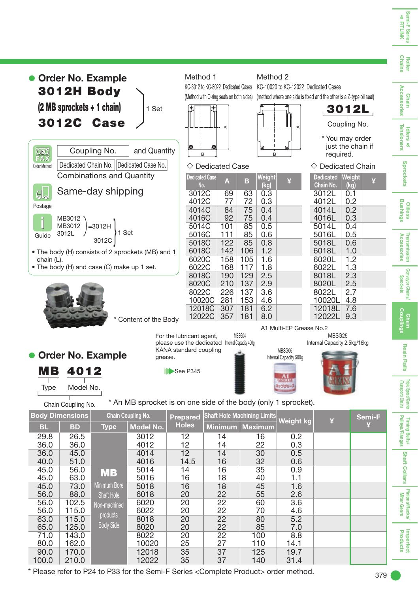

\* Please refer to P24 to P33 for the Semi-F Series < Complete Product> order method.